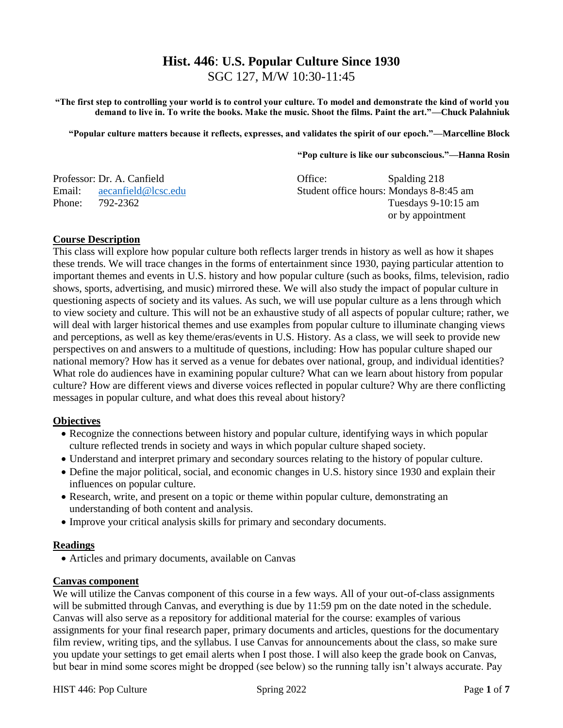# **Hist. 446**: **U.S. Popular Culture Since 1930** SGC 127, M/W 10:30-11:45

**"The first step to controlling your world is to control your culture. To model and demonstrate the kind of world you demand to live in. To write the books. Make the music. Shoot the films. Paint the art."—Chuck Palahniuk** 

**"Popular culture matters because it reflects, expresses, and validates the spirit of our epoch."—Marcelline Block** 

#### **"Pop culture is like our subconscious."—Hanna Rosin**

|        | Professor: Dr. A. Canfield | Office:                                 | Spalding 218          |
|--------|----------------------------|-----------------------------------------|-----------------------|
| Email: | aecanfield@lcsc.edu        | Student office hours: Mondays 8-8:45 am |                       |
| Phone: | 792-2362                   |                                         | Tuesdays $9-10:15$ am |
|        |                            |                                         | or by appointment     |

### **Course Description**

This class will explore how popular culture both reflects larger trends in history as well as how it shapes these trends. We will trace changes in the forms of entertainment since 1930, paying particular attention to important themes and events in U.S. history and how popular culture (such as books, films, television, radio shows, sports, advertising, and music) mirrored these. We will also study the impact of popular culture in questioning aspects of society and its values. As such, we will use popular culture as a lens through which to view society and culture. This will not be an exhaustive study of all aspects of popular culture; rather, we will deal with larger historical themes and use examples from popular culture to illuminate changing views and perceptions, as well as key theme/eras/events in U.S. History. As a class, we will seek to provide new perspectives on and answers to a multitude of questions, including: How has popular culture shaped our national memory? How has it served as a venue for debates over national, group, and individual identities? What role do audiences have in examining popular culture? What can we learn about history from popular culture? How are different views and diverse voices reflected in popular culture? Why are there conflicting messages in popular culture, and what does this reveal about history?

### **Objectives**

- Recognize the connections between history and popular culture, identifying ways in which popular culture reflected trends in society and ways in which popular culture shaped society.
- Understand and interpret primary and secondary sources relating to the history of popular culture.
- Define the major political, social, and economic changes in U.S. history since 1930 and explain their influences on popular culture.
- Research, write, and present on a topic or theme within popular culture, demonstrating an understanding of both content and analysis.
- Improve your critical analysis skills for primary and secondary documents.

### **Readings**

• Articles and primary documents, available on Canvas

#### **Canvas component**

We will utilize the Canvas component of this course in a few ways. All of your out-of-class assignments will be submitted through Canvas, and everything is due by 11:59 pm on the date noted in the schedule. Canvas will also serve as a repository for additional material for the course: examples of various assignments for your final research paper, primary documents and articles, questions for the documentary film review, writing tips, and the syllabus. I use Canvas for announcements about the class, so make sure you update your settings to get email alerts when I post those. I will also keep the grade book on Canvas, but bear in mind some scores might be dropped (see below) so the running tally isn't always accurate. Pay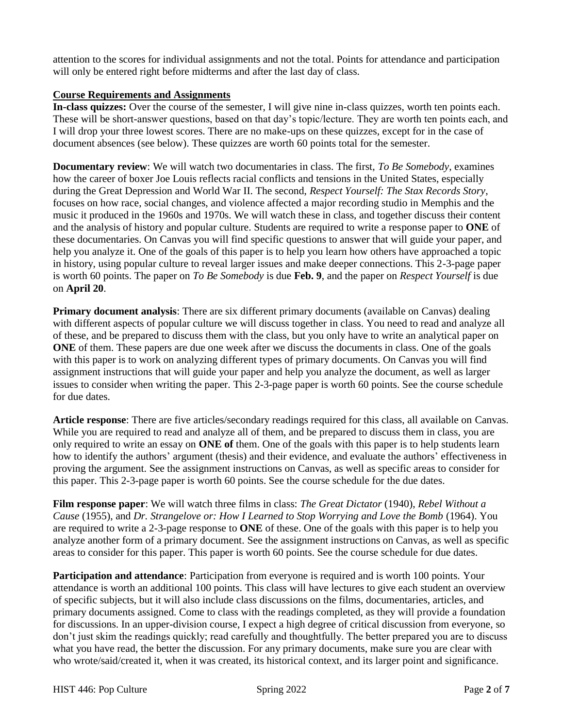attention to the scores for individual assignments and not the total. Points for attendance and participation will only be entered right before midterms and after the last day of class.

### **Course Requirements and Assignments**

**In-class quizzes:** Over the course of the semester, I will give nine in-class quizzes, worth ten points each. These will be short-answer questions, based on that day's topic/lecture. They are worth ten points each, and I will drop your three lowest scores. There are no make-ups on these quizzes, except for in the case of document absences (see below). These quizzes are worth 60 points total for the semester.

**Documentary review**: We will watch two documentaries in class. The first, *To Be Somebody*, examines how the career of boxer Joe Louis reflects racial conflicts and tensions in the United States, especially during the Great Depression and World War II. The second, *Respect Yourself: The Stax Records Story*, focuses on how race, social changes, and violence affected a major recording studio in Memphis and the music it produced in the 1960s and 1970s. We will watch these in class, and together discuss their content and the analysis of history and popular culture. Students are required to write a response paper to **ONE** of these documentaries. On Canvas you will find specific questions to answer that will guide your paper, and help you analyze it. One of the goals of this paper is to help you learn how others have approached a topic in history, using popular culture to reveal larger issues and make deeper connections. This 2-3-page paper is worth 60 points. The paper on *To Be Somebody* is due **Feb. 9**, and the paper on *Respect Yourself* is due on **April 20**.

**Primary document analysis**: There are six different primary documents (available on Canvas) dealing with different aspects of popular culture we will discuss together in class. You need to read and analyze all of these, and be prepared to discuss them with the class, but you only have to write an analytical paper on **ONE** of them. These papers are due one week after we discuss the documents in class. One of the goals with this paper is to work on analyzing different types of primary documents. On Canvas you will find assignment instructions that will guide your paper and help you analyze the document, as well as larger issues to consider when writing the paper. This 2-3-page paper is worth 60 points. See the course schedule for due dates.

**Article response**: There are five articles/secondary readings required for this class, all available on Canvas. While you are required to read and analyze all of them, and be prepared to discuss them in class, you are only required to write an essay on **ONE of** them. One of the goals with this paper is to help students learn how to identify the authors' argument (thesis) and their evidence, and evaluate the authors' effectiveness in proving the argument. See the assignment instructions on Canvas, as well as specific areas to consider for this paper. This 2-3-page paper is worth 60 points. See the course schedule for the due dates.

**Film response paper**: We will watch three films in class: *The Great Dictator* (1940), *Rebel Without a Cause* (1955), and *Dr. Strangelove or: How I Learned to Stop Worrying and Love the Bomb* (1964). You are required to write a 2-3-page response to **ONE** of these. One of the goals with this paper is to help you analyze another form of a primary document. See the assignment instructions on Canvas, as well as specific areas to consider for this paper. This paper is worth 60 points. See the course schedule for due dates.

**Participation and attendance**: Participation from everyone is required and is worth 100 points. Your attendance is worth an additional 100 points. This class will have lectures to give each student an overview of specific subjects, but it will also include class discussions on the films, documentaries, articles, and primary documents assigned. Come to class with the readings completed, as they will provide a foundation for discussions. In an upper-division course, I expect a high degree of critical discussion from everyone, so don't just skim the readings quickly; read carefully and thoughtfully. The better prepared you are to discuss what you have read, the better the discussion. For any primary documents, make sure you are clear with who wrote/said/created it, when it was created, its historical context, and its larger point and significance.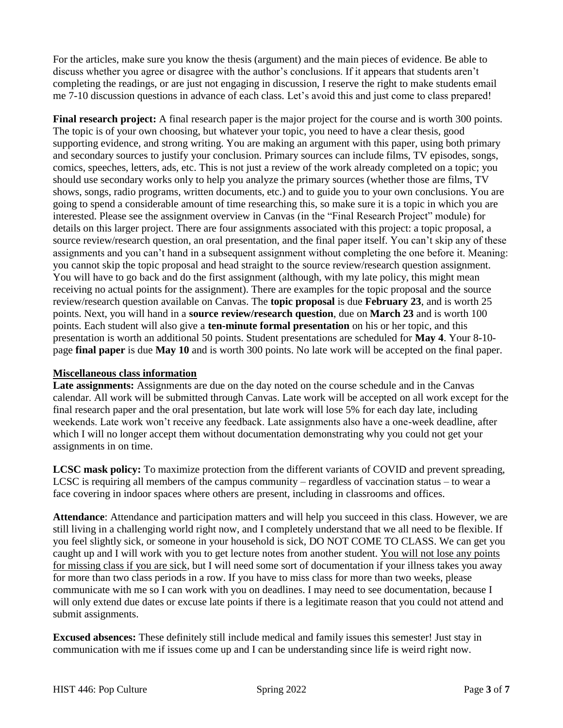For the articles, make sure you know the thesis (argument) and the main pieces of evidence. Be able to discuss whether you agree or disagree with the author's conclusions. If it appears that students aren't completing the readings, or are just not engaging in discussion, I reserve the right to make students email me 7-10 discussion questions in advance of each class. Let's avoid this and just come to class prepared!

**Final research project:** A final research paper is the major project for the course and is worth 300 points. The topic is of your own choosing, but whatever your topic, you need to have a clear thesis, good supporting evidence, and strong writing. You are making an argument with this paper, using both primary and secondary sources to justify your conclusion. Primary sources can include films, TV episodes, songs, comics, speeches, letters, ads, etc. This is not just a review of the work already completed on a topic; you should use secondary works only to help you analyze the primary sources (whether those are films, TV shows, songs, radio programs, written documents, etc.) and to guide you to your own conclusions. You are going to spend a considerable amount of time researching this, so make sure it is a topic in which you are interested. Please see the assignment overview in Canvas (in the "Final Research Project" module) for details on this larger project. There are four assignments associated with this project: a topic proposal, a source review/research question, an oral presentation, and the final paper itself. You can't skip any of these assignments and you can't hand in a subsequent assignment without completing the one before it. Meaning: you cannot skip the topic proposal and head straight to the source review/research question assignment. You will have to go back and do the first assignment (although, with my late policy, this might mean receiving no actual points for the assignment). There are examples for the topic proposal and the source review/research question available on Canvas. The **topic proposal** is due **February 23**, and is worth 25 points. Next, you will hand in a **source review/research question**, due on **March 23** and is worth 100 points. Each student will also give a **ten-minute formal presentation** on his or her topic, and this presentation is worth an additional 50 points. Student presentations are scheduled for **May 4**. Your 8-10 page **final paper** is due **May 10** and is worth 300 points. No late work will be accepted on the final paper.

# **Miscellaneous class information**

**Late assignments:** Assignments are due on the day noted on the course schedule and in the Canvas calendar. All work will be submitted through Canvas. Late work will be accepted on all work except for the final research paper and the oral presentation, but late work will lose 5% for each day late, including weekends. Late work won't receive any feedback. Late assignments also have a one-week deadline, after which I will no longer accept them without documentation demonstrating why you could not get your assignments in on time.

**LCSC mask policy:** To maximize protection from the different variants of COVID and prevent spreading, LCSC is requiring all members of the campus community – regardless of vaccination status – to wear a face covering in indoor spaces where others are present, including in classrooms and offices.

**Attendance**: Attendance and participation matters and will help you succeed in this class. However, we are still living in a challenging world right now, and I completely understand that we all need to be flexible. If you feel slightly sick, or someone in your household is sick, DO NOT COME TO CLASS. We can get you caught up and I will work with you to get lecture notes from another student. You will not lose any points for missing class if you are sick, but I will need some sort of documentation if your illness takes you away for more than two class periods in a row. If you have to miss class for more than two weeks, please communicate with me so I can work with you on deadlines. I may need to see documentation, because I will only extend due dates or excuse late points if there is a legitimate reason that you could not attend and submit assignments.

**Excused absences:** These definitely still include medical and family issues this semester! Just stay in communication with me if issues come up and I can be understanding since life is weird right now.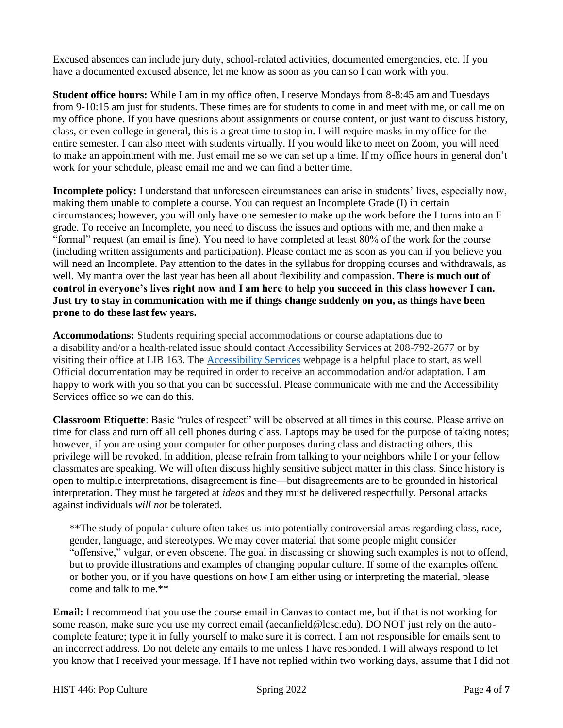Excused absences can include jury duty, school-related activities, documented emergencies, etc. If you have a documented excused absence, let me know as soon as you can so I can work with you.

**Student office hours:** While I am in my office often, I reserve Mondays from 8-8:45 am and Tuesdays from 9-10:15 am just for students. These times are for students to come in and meet with me, or call me on my office phone. If you have questions about assignments or course content, or just want to discuss history, class, or even college in general, this is a great time to stop in. I will require masks in my office for the entire semester. I can also meet with students virtually. If you would like to meet on Zoom, you will need to make an appointment with me. Just email me so we can set up a time. If my office hours in general don't work for your schedule, please email me and we can find a better time.

**Incomplete policy:** I understand that unforeseen circumstances can arise in students' lives, especially now, making them unable to complete a course. You can request an Incomplete Grade (I) in certain circumstances; however, you will only have one semester to make up the work before the I turns into an F grade. To receive an Incomplete, you need to discuss the issues and options with me, and then make a "formal" request (an email is fine). You need to have completed at least 80% of the work for the course (including written assignments and participation). Please contact me as soon as you can if you believe you will need an Incomplete. Pay attention to the dates in the syllabus for dropping courses and withdrawals, as well. My mantra over the last year has been all about flexibility and compassion. **There is much out of control in everyone's lives right now and I am here to help you succeed in this class however I can. Just try to stay in communication with me if things change suddenly on you, as things have been prone to do these last few years.**

**Accommodations:** Students requiring special accommodations or course adaptations due to a disability and/or a health-related issue should contact Accessibility Services at 208-792-2677 or by visiting their office at LIB 163. The [Accessibility Services](https://www.lcsc.edu/accessibility-services/student-information) webpage is a helpful place to start, as well Official documentation may be required in order to receive an accommodation and/or adaptation. I am happy to work with you so that you can be successful. Please communicate with me and the Accessibility Services office so we can do this.

**Classroom Etiquette**: Basic "rules of respect" will be observed at all times in this course. Please arrive on time for class and turn off all cell phones during class. Laptops may be used for the purpose of taking notes; however, if you are using your computer for other purposes during class and distracting others, this privilege will be revoked. In addition, please refrain from talking to your neighbors while I or your fellow classmates are speaking. We will often discuss highly sensitive subject matter in this class. Since history is open to multiple interpretations, disagreement is fine—but disagreements are to be grounded in historical interpretation. They must be targeted at *ideas* and they must be delivered respectfully. Personal attacks against individuals *will not* be tolerated.

\*\*The study of popular culture often takes us into potentially controversial areas regarding class, race, gender, language, and stereotypes. We may cover material that some people might consider "offensive," vulgar, or even obscene. The goal in discussing or showing such examples is not to offend, but to provide illustrations and examples of changing popular culture. If some of the examples offend or bother you, or if you have questions on how I am either using or interpreting the material, please come and talk to me.\*\*

**Email:** I recommend that you use the course email in Canvas to contact me, but if that is not working for some reason, make sure you use my correct email (aecanfield@lcsc.edu). DO NOT just rely on the autocomplete feature; type it in fully yourself to make sure it is correct. I am not responsible for emails sent to an incorrect address. Do not delete any emails to me unless I have responded. I will always respond to let you know that I received your message. If I have not replied within two working days, assume that I did not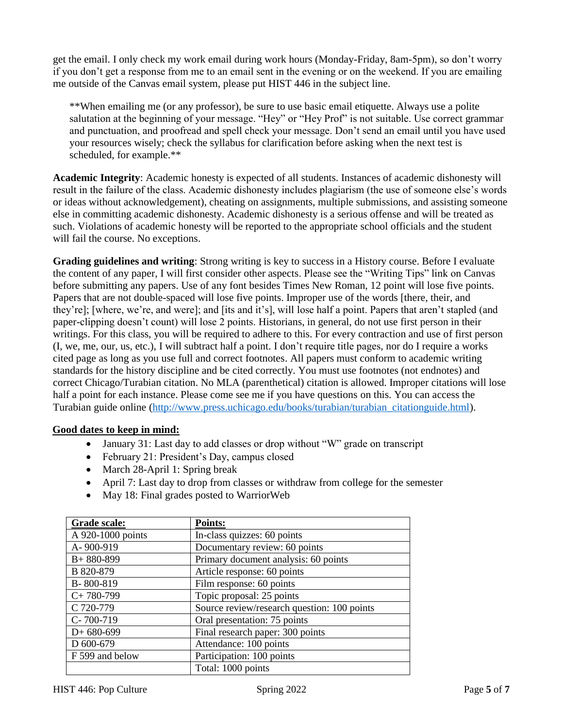get the email. I only check my work email during work hours (Monday-Friday, 8am-5pm), so don't worry if you don't get a response from me to an email sent in the evening or on the weekend. If you are emailing me outside of the Canvas email system, please put HIST 446 in the subject line.

\*\*When emailing me (or any professor), be sure to use basic email etiquette. Always use a polite salutation at the beginning of your message. "Hey" or "Hey Prof" is not suitable. Use correct grammar and punctuation, and proofread and spell check your message. Don't send an email until you have used your resources wisely; check the syllabus for clarification before asking when the next test is scheduled, for example.\*\*

**Academic Integrity**: Academic honesty is expected of all students. Instances of academic dishonesty will result in the failure of the class. Academic dishonesty includes plagiarism (the use of someone else's words or ideas without acknowledgement), cheating on assignments, multiple submissions, and assisting someone else in committing academic dishonesty. Academic dishonesty is a serious offense and will be treated as such. Violations of academic honesty will be reported to the appropriate school officials and the student will fail the course. No exceptions.

**Grading guidelines and writing**: Strong writing is key to success in a History course. Before I evaluate the content of any paper, I will first consider other aspects. Please see the "Writing Tips" link on Canvas before submitting any papers. Use of any font besides Times New Roman, 12 point will lose five points. Papers that are not double-spaced will lose five points. Improper use of the words [there, their, and they're]; [where, we're, and were]; and [its and it's], will lose half a point. Papers that aren't stapled (and paper-clipping doesn't count) will lose 2 points. Historians, in general, do not use first person in their writings. For this class, you will be required to adhere to this. For every contraction and use of first person (I, we, me, our, us, etc.), I will subtract half a point. I don't require title pages, nor do I require a works cited page as long as you use full and correct footnotes. All papers must conform to academic writing standards for the history discipline and be cited correctly. You must use footnotes (not endnotes) and correct Chicago/Turabian citation. No MLA (parenthetical) citation is allowed. Improper citations will lose half a point for each instance. Please come see me if you have questions on this. You can access the Turabian guide online [\(http://www.press.uchicago.edu/books/turabian/turabian\\_citationguide.html\)](http://www.press.uchicago.edu/books/turabian/turabian_citationguide.html).

# **Good dates to keep in mind:**

- January 31: Last day to add classes or drop without "W" grade on transcript
- February 21: President's Day, campus closed
- March 28-April 1: Spring break
- April 7: Last day to drop from classes or withdraw from college for the semester
- May 18: Final grades posted to WarriorWeb

| Grade scale:      | <b>Points:</b>                              |  |
|-------------------|---------------------------------------------|--|
| A 920-1000 points | In-class quizzes: 60 points                 |  |
| A-900-919         | Documentary review: 60 points               |  |
| $B+880-899$       | Primary document analysis: 60 points        |  |
| B 820-879         | Article response: 60 points                 |  |
| B-800-819         | Film response: 60 points                    |  |
| $C+780-799$       | Topic proposal: 25 points                   |  |
| C 720-779         | Source review/research question: 100 points |  |
| $C - 700 - 719$   | Oral presentation: 75 points                |  |
| $D+680-699$       | Final research paper: 300 points            |  |
| D 600-679         | Attendance: 100 points                      |  |
| F 599 and below   | Participation: 100 points                   |  |
|                   | Total: 1000 points                          |  |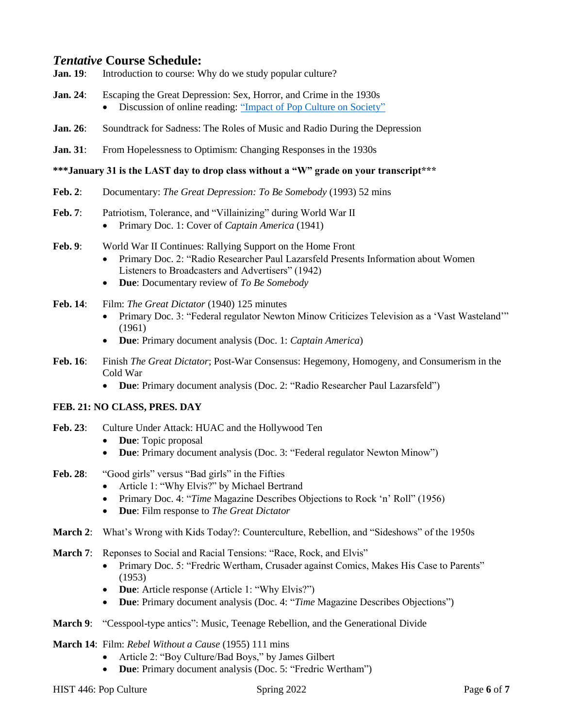# *Tentative* **Course Schedule:**

- **Jan. 19:** Introduction to course: Why do we study popular culture?
- **Jan. 24**: Escaping the Great Depression: Sex, Horror, and Crime in the 1930s • Discussion of online reading: ["Impact of Pop Culture on Society"](https://medium.com/@thenewswell/impact-of-pop-culture-on-society-fde92ae986f0)
- **Jan. 26:** Soundtrack for Sadness: The Roles of Music and Radio During the Depression
- **Jan. 31:** From Hopelessness to Optimism: Changing Responses in the 1930s

#### **\*\*\*January 31 is the LAST day to drop class without a "W" grade on your transcript\*\*\***

- **Feb. 2**: Documentary: *The Great Depression: To Be Somebody* (1993) 52 mins
- Feb. 7: Patriotism, Tolerance, and "Villainizing" during World War II
	- Primary Doc. 1: Cover of *Captain America* (1941)
- **Feb. 9**: World War II Continues: Rallying Support on the Home Front
	- Primary Doc. 2: "Radio Researcher Paul Lazarsfeld Presents Information about Women Listeners to Broadcasters and Advertisers" (1942)
	- **Due**: Documentary review of *To Be Somebody*
- **Feb. 14**: Film: *The Great Dictator* (1940) 125 minutes
	- Primary Doc. 3: "Federal regulator Newton Minow Criticizes Television as a 'Vast Wasteland'" (1961)
	- **Due**: Primary document analysis (Doc. 1: *Captain America*)
- **Feb. 16**: Finish *The Great Dictator*; Post-War Consensus: Hegemony, Homogeny, and Consumerism in the Cold War
	- **Due**: Primary document analysis (Doc. 2: "Radio Researcher Paul Lazarsfeld")

### **FEB. 21: NO CLASS, PRES. DAY**

- **Feb. 23**: Culture Under Attack: HUAC and the Hollywood Ten
	- **Due**: Topic proposal
	- **Due**: Primary document analysis (Doc. 3: "Federal regulator Newton Minow")
- Feb. 28: "Good girls" versus "Bad girls" in the Fifties
	- Article 1: "Why Elvis?" by Michael Bertrand
	- Primary Doc. 4: "*Time* Magazine Describes Objections to Rock 'n' Roll" (1956)
	- **Due**: Film response to *The Great Dictator*
- **March 2**: What's Wrong with Kids Today?: Counterculture, Rebellion, and "Sideshows" of the 1950s
- **March 7:** Reponses to Social and Racial Tensions: "Race, Rock, and Elvis"
	- Primary Doc. 5: "Fredric Wertham, Crusader against Comics, Makes His Case to Parents" (1953)
	- **Due**: Article response (Article 1: "Why Elvis?")
	- **Due**: Primary document analysis (Doc. 4: "*Time* Magazine Describes Objections")
- **March 9**: "Cesspool-type antics": Music, Teenage Rebellion, and the Generational Divide
- **March 14**: Film: *Rebel Without a Cause* (1955) 111 mins
	- Article 2: "Boy Culture/Bad Boys," by James Gilbert
	- **Due**: Primary document analysis (Doc. 5: "Fredric Wertham")